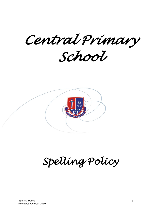*Central Primary* 

*School* 



# *Spelling Policy*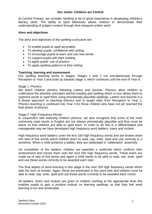## **Our motto: Children are Central**

At Central Primary, we consider Spelling to be of great importance in developing children's literacy skills. The ability to spell effectively allows children to demonstrate their understanding of subject content through their eloquent written work.

#### **Aims and objectives**

The aims and objectives of the spelling curriculum are:

- To enable pupils to spell accurately
- To develop pupils' confidence with writing
- To encourage pupils to learn and use new words
- To support pupils with their reading
- To apply pupils' use of phonics
- To apply spelling patterns to their writing

#### **Teaching, learning and assessment**

Our spelling teaching works in stages. Stages 1 and 2 run simultaneously through Reception to Year 3 and build up towards stage 3, which continues until the end of Year 6.

#### Stage 1: Phonics

We teach children phonics following Letters and Sounds. Phonics allow children to understand the phonetic principles behind reading and spelling which in turn allows them to segment words to spell them using phonetically plausible spellings. Letters and Sounds is a 6 phase approach to teaching phonics and is taught daily from Reception to Year 2. Phonics teaching is continued into Year 3 for those children who have not yet reached the final phase of phonics.

#### Stage 2: High Frequency Words

In conjunction with teaching children phonics, we also recognise that some of the most commonly used words in English are not always phonetically plausible and thus must be learnt so that children are able to spell them. In order to do this in a differentiated and manageable way we have developed high frequency word ladders, trains and rockets.

High frequency word ladders cover the first 100 high frequency words and are broken down into sets of five words which children learn to read, say, write, spell and use correctly in a sentence. When a child achieves a ladder, they are celebrated in 'celebration' assembly.

On completion of the ladders, children are awarded a certificate which confirms their achievement and moves them onto the next 200 high frequency words. These trains are made up of sets of five words and again a child needs to be able to read, say, write, spell and use these words correctly to be awarded each train.

The final aspect of word learning in this stage is the next 200 high frequency words which take the form of rockets. Again, these are presented in five word sets and children must be able to read, say, write, spell and use these words correctly to be awarded each rocket.

All ladders, trains and rockets are given to children working at the appropriate level this enables pupils to gain a positive outlook on learning spellings so that they feel word learning is fun and achievable.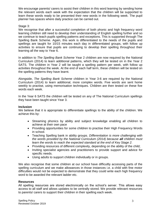We encourage parents/ carers to assist their children in this word learning by sending home the relevant words each week with the expectation that the children will be supported to learn these words ready to be presented their new words in the following week. The pupil planner has spaces where daily practice can be carried out.

## Stage 3:

We recognise that after a successful completion of both phonic and high frequency word learning children still need to develop their understanding of English spelling further and so we continue to teach pupils spelling patterns and exceptions. This is supported through The Spelling Bank Scheme. Again, this work is differentiated to the needs of the pupils and spellings are taught for 10/15 minutes each day in differentiated groups, with follow up activities to ensure that pupils are continuing to develop their spelling throughout their learning all the way to Year 6.

In addition to *The Spelling Bank Scheme* Year 2 children are now required by the National Curriculum (2014) to learn additional patterns, which they will be tested on in the Year 2 SATS. The children in Year 2 will be taught a spelling pattern per week, with follow up activities throughout the week. At the end of each half term, these children will be tested on the spelling patterns they have learnt.

Alongside, *The Spelling Bank Scheme* children in Year 3-6 are required by the National Curriculum (2014) to learn additional, more complex words. Five words are sent home weekly to practise, using memorisation techniques. Children are then tested on these five words each week.

In the Year 6 SATS the children will be tested on any of The National Curriculum spellings they have been taught since Year 3.

#### **Inclusion**

We believe that it is appropriate to differentiate spellings to the ability of the children. We achieve this by:

- Streaming phonics by ability and subject knowledge enabling all children to achieve at their own pace
- Providing opportunities for some children to practise their High Frequency Words in school.
- Teaching Spelling bank in ability groups. *Differentiation is more challenging with the words provided by the National Curriculum (2014) because all children must learn the words to reach the expected standard at the end of Key Stage 2.*
- Providing resources of different complexity, depending on the ability of the child;
- Inviting specialist agencies and practitioners to provide support and advice for specific needs.
- Using adults to support children individually or in groups.

We also recognise that some children at our school have difficultly accessing parts of the spelling curriculum and we make allowances in those instances i.e. a child with fine motor difficulties would not be expected to demonstrate that they could write each high frequency word to be awarded the relevant ladder etc.

#### **Resources**

All spelling resources are stored electronically on the school's server. This allows easy access to all staff and allows updates to be centrally stored. We provide relevant resources to parents/ carers to support their children in their spelling each week.